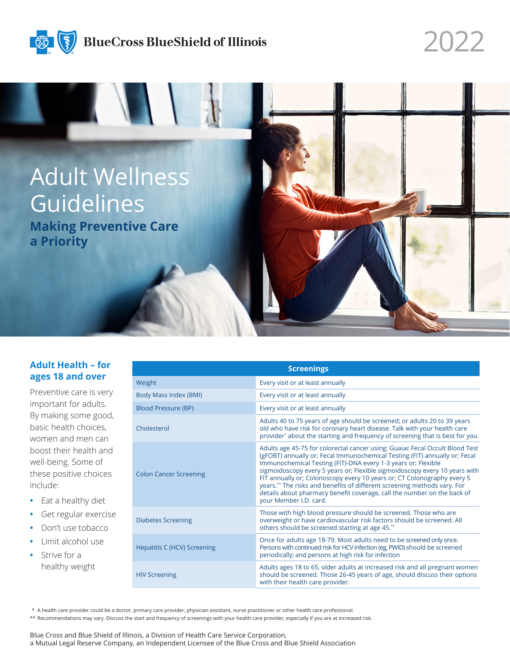

## **BlueCross BlueShield of Illinois**

Adult Wellness Guidelines **Making Preventive Care a Priority**

2022

## **Adult Health – for ages 18 and over**

Preventive care is very important for adults. By making some good, basic health choices, women and men can boost their health and well-being. Some of these positive choices include:

- **•** Eat a healthy diet
- **•** Get regular exercise
- **•** Don't use tobacco
- **•** Limit alcohol use
- **•** Strive for a healthy weight

| <b>Screenings</b>                  |                                                                                                                                                                                                                                                                                                                                                                                                                                                                                                                                                                       |
|------------------------------------|-----------------------------------------------------------------------------------------------------------------------------------------------------------------------------------------------------------------------------------------------------------------------------------------------------------------------------------------------------------------------------------------------------------------------------------------------------------------------------------------------------------------------------------------------------------------------|
| Weight                             | Every visit or at least annually                                                                                                                                                                                                                                                                                                                                                                                                                                                                                                                                      |
| Body Mass Index (BMI)              | Every visit or at least annually                                                                                                                                                                                                                                                                                                                                                                                                                                                                                                                                      |
| <b>Blood Pressure (BP)</b>         | Every visit or at least annually                                                                                                                                                                                                                                                                                                                                                                                                                                                                                                                                      |
| Cholesterol                        | Adults 40 to 75 years of age should be screened; or adults 20 to 39 years<br>old who have risk for coronary heart disease. Talk with your health care<br>provider* about the starting and frequency of screening that is best for you.                                                                                                                                                                                                                                                                                                                                |
| <b>Colon Cancer Screening</b>      | Adults age 45-75 for colorectal cancer using: Guaiac Fecal Occult Blood Test<br>(gFOBT) annually or; Fecal Immunochemical Testing (FIT) annually or; Fecal<br>Immunochemical Testing (FIT)-DNA every 1-3 years or; Flexible<br>sigmoidoscopy every 5 years or; Flexible sigmoidoscopy every 10 years with<br>FIT annually or; Colonoscopy every 10 years or; CT Colonography every 5<br>years.** The risks and benefits of different screening methods vary. For<br>details about pharmacy benefit coverage, call the number on the back of<br>your Member I.D. card. |
| <b>Diabetes Screening</b>          | Those with high blood pressure should be screened. Those who are<br>overweight or have cardiovascular risk factors should be screened. All<br>others should be screened starting at age 45.**                                                                                                                                                                                                                                                                                                                                                                         |
| <b>Hepatitis C (HCV) Screening</b> | Once for adults age 18-79. Most adults need to be screened only once.<br>Persons with continued risk for HCV infection (eg, PWID) should be screened<br>periodically; and persons at high risk for infection                                                                                                                                                                                                                                                                                                                                                          |
| <b>HIV Screening</b>               | Adults ages 18 to 65, older adults at increased risk and all pregnant women<br>should be screened. Those 26-45 years of age, should discuss their options<br>with their health care provider.                                                                                                                                                                                                                                                                                                                                                                         |

\* A health care provider could be a doctor, primary care provider, physician assistant, nurse practitioner or other health care professional.

\*\* Recommendations may vary. Discuss the start and frequency of screenings with your health care provider, especially if you are at increased risk.

Blue Cross and Blue Shield of Illinois, a Division of Health Care Service Corporation, a Mutual Legal Reserve Company, an Independent Licensee of the Blue Cross and Blue Shield Association